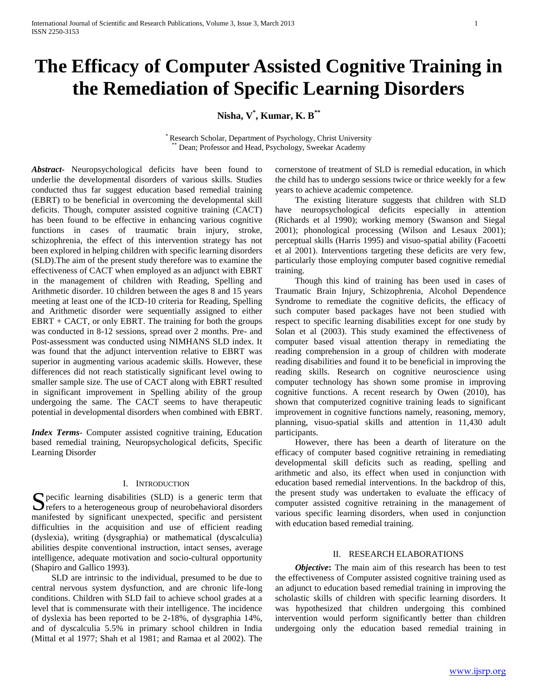# **The Efficacy of Computer Assisted Cognitive Training in the Remediation of Specific Learning Disorders**

**Nisha, V\* , Kumar, K. B\*\***

\* Research Scholar, Department of Psychology, Christ University Dean; Professor and Head, Psychology, Sweekar Academy

*Abstract***-** Neuropsychological deficits have been found to underlie the developmental disorders of various skills. Studies conducted thus far suggest education based remedial training (EBRT) to be beneficial in overcoming the developmental skill deficits. Though, computer assisted cognitive training (CACT) has been found to be effective in enhancing various cognitive functions in cases of traumatic brain injury, stroke, schizophrenia, the effect of this intervention strategy has not been explored in helping children with specific learning disorders (SLD).The aim of the present study therefore was to examine the effectiveness of CACT when employed as an adjunct with EBRT in the management of children with Reading, Spelling and Arithmetic disorder. 10 children between the ages 8 and 15 years meeting at least one of the ICD-10 criteria for Reading, Spelling and Arithmetic disorder were sequentially assigned to either  $EBRT + CACT$ , or only EBRT. The training for both the groups was conducted in 8-12 sessions, spread over 2 months. Pre- and Post-assessment was conducted using NIMHANS SLD index. It was found that the adjunct intervention relative to EBRT was superior in augmenting various academic skills. However, these differences did not reach statistically significant level owing to smaller sample size. The use of CACT along with EBRT resulted in significant improvement in Spelling ability of the group undergoing the same. The CACT seems to have therapeutic potential in developmental disorders when combined with EBRT.

*Index Terms*- Computer assisted cognitive training, Education based remedial training, Neuropsychological deficits, Specific Learning Disorder

#### I. INTRODUCTION

pecific learning disabilities (SLD) is a generic term that S pecific learning disabilities (SLD) is a generic term that refers to a heterogeneous group of neurobehavioral disorders manifested by significant unexpected, specific and persistent difficulties in the acquisition and use of efficient reading (dyslexia), writing (dysgraphia) or mathematical (dyscalculia) abilities despite conventional instruction, intact senses, average intelligence, adequate motivation and socio-cultural opportunity (Shapiro and Gallico 1993).

 SLD are intrinsic to the individual, presumed to be due to central nervous system dysfunction, and are chronic life-long conditions. Children with SLD fail to achieve school grades at a level that is commensurate with their intelligence. The incidence of dyslexia has been reported to be 2-18%, of dysgraphia 14%, and of dyscalculia 5.5% in primary school children in India (Mittal et al 1977; Shah et al 1981; and Ramaa et al 2002). The

cornerstone of treatment of SLD is remedial education, in which the child has to undergo sessions twice or thrice weekly for a few years to achieve academic competence.

 The existing literature suggests that children with SLD have neuropsychological deficits especially in attention (Richards et al 1990); working memory (Swanson and Siegal 2001); phonological processing (Wilson and Lesaux 2001); perceptual skills (Harris 1995) and visuo-spatial ability (Facoetti et al 2001). Interventions targeting these deficits are very few, particularly those employing computer based cognitive remedial training.

 Though this kind of training has been used in cases of Traumatic Brain Injury, Schizophrenia, Alcohol Dependence Syndrome to remediate the cognitive deficits, the efficacy of such computer based packages have not been studied with respect to specific learning disabilities except for one study by Solan et al (2003). This study examined the effectiveness of computer based visual attention therapy in remediating the reading comprehension in a group of children with moderate reading disabilities and found it to be beneficial in improving the reading skills. Research on cognitive neuroscience using computer technology has shown some promise in improving cognitive functions. A recent research by Owen (2010), has shown that computerized cognitive training leads to significant improvement in cognitive functions namely, reasoning, memory, planning, visuo-spatial skills and attention in 11,430 adult participants.

 However, there has been a dearth of literature on the efficacy of computer based cognitive retraining in remediating developmental skill deficits such as reading, spelling and arithmetic and also, its effect when used in conjunction with education based remedial interventions. In the backdrop of this, the present study was undertaken to evaluate the efficacy of computer assisted cognitive retraining in the management of various specific learning disorders, when used in conjunction with education based remedial training.

## II. RESEARCH ELABORATIONS

*Objective*: The main aim of this research has been to test the effectiveness of Computer assisted cognitive training used as an adjunct to education based remedial training in improving the scholastic skills of children with specific learning disorders. It was hypothesized that children undergoing this combined intervention would perform significantly better than children undergoing only the education based remedial training in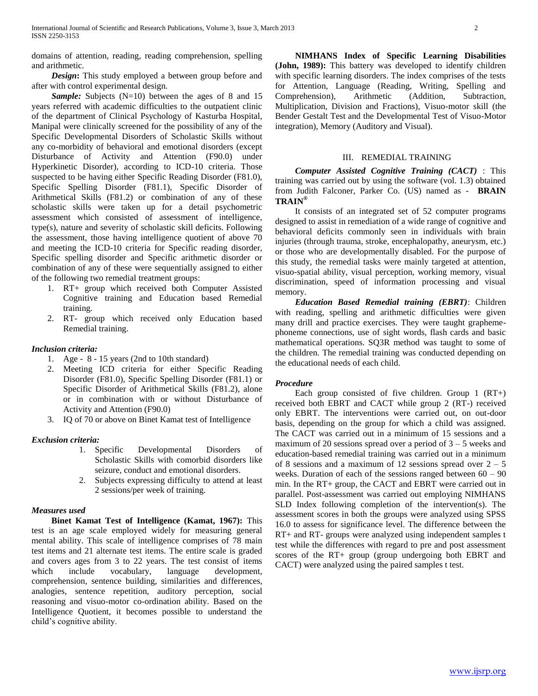domains of attention, reading, reading comprehension, spelling and arithmetic.

*Design*: This study employed a between group before and after with control experimental design.

*Sample:* Subjects (N=10) between the ages of 8 and 15 years referred with academic difficulties to the outpatient clinic of the department of Clinical Psychology of Kasturba Hospital, Manipal were clinically screened for the possibility of any of the Specific Developmental Disorders of Scholastic Skills without any co-morbidity of behavioral and emotional disorders (except Disturbance of Activity and Attention (F90.0) under Hyperkinetic Disorder), according to ICD-10 criteria. Those suspected to be having either Specific Reading Disorder (F81.0), Specific Spelling Disorder (F81.1), Specific Disorder of Arithmetical Skills (F81.2) or combination of any of these scholastic skills were taken up for a detail psychometric assessment which consisted of assessment of intelligence, type(s), nature and severity of scholastic skill deficits. Following the assessment, those having intelligence quotient of above 70 and meeting the ICD-10 criteria for Specific reading disorder, Specific spelling disorder and Specific arithmetic disorder or combination of any of these were sequentially assigned to either of the following two remedial treatment groups:

- 1. RT+ group which received both Computer Assisted Cognitive training and Education based Remedial training.
- 2. RT- group which received only Education based Remedial training.

## *Inclusion criteria:*

- 1. Age 8 15 years (2nd to 10th standard)
- 2. Meeting ICD criteria for either Specific Reading Disorder (F81.0), Specific Spelling Disorder (F81.1) or Specific Disorder of Arithmetical Skills (F81.2), alone or in combination with or without Disturbance of Activity and Attention (F90.0)
- 3. IQ of 70 or above on Binet Kamat test of Intelligence

#### *Exclusion criteria:*

- 1. Specific Developmental Disorders of Scholastic Skills with comorbid disorders like seizure, conduct and emotional disorders.
- 2. Subjects expressing difficulty to attend at least 2 sessions/per week of training.

#### *Measures used*

 **Binet Kamat Test of Intelligence (Kamat, 1967):** This test is an age scale employed widely for measuring general mental ability. This scale of intelligence comprises of 78 main test items and 21 alternate test items. The entire scale is graded and covers ages from 3 to 22 years. The test consist of items which include vocabulary, language development, comprehension, sentence building, similarities and differences, analogies, sentence repetition, auditory perception, social reasoning and visuo-motor co-ordination ability. Based on the Intelligence Quotient, it becomes possible to understand the child's cognitive ability.

 **NIMHANS Index of Specific Learning Disabilities (John, 1989):** This battery was developed to identify children with specific learning disorders. The index comprises of the tests for Attention, Language (Reading, Writing, Spelling and Comprehension), Arithmetic (Addition, Subtraction, Multiplication, Division and Fractions), Visuo-motor skill (the Bender Gestalt Test and the Developmental Test of Visuo-Motor integration), Memory (Auditory and Visual).

## III. REMEDIAL TRAINING

 *Computer Assisted Cognitive Training (CACT)* : This training was carried out by using the software (vol. 1.3) obtained from Judith Falconer, Parker Co. (US) named as - **BRAIN TRAIN®**

 It consists of an integrated set of 52 computer programs designed to assist in remediation of a wide range of cognitive and behavioral deficits commonly seen in individuals with brain injuries (through trauma, stroke, encephalopathy, aneurysm, etc.) or those who are developmentally disabled. For the purpose of this study, the remedial tasks were mainly targeted at attention, visuo-spatial ability, visual perception, working memory, visual discrimination, speed of information processing and visual memory.

 *Education Based Remedial training (EBRT)*: Children with reading, spelling and arithmetic difficulties were given many drill and practice exercises. They were taught graphemephoneme connections, use of sight words, flash cards and basic mathematical operations. SQ3R method was taught to some of the children. The remedial training was conducted depending on the educational needs of each child.

# *Procedure*

Each group consisted of five children. Group  $1 (RT+)$ received both EBRT and CACT while group 2 (RT-) received only EBRT. The interventions were carried out, on out-door basis, depending on the group for which a child was assigned. The CACT was carried out in a minimum of 15 sessions and a maximum of 20 sessions spread over a period of  $3 - 5$  weeks and education-based remedial training was carried out in a minimum of 8 sessions and a maximum of 12 sessions spread over  $2 - 5$ weeks. Duration of each of the sessions ranged between 60 – 90 min. In the RT+ group, the CACT and EBRT were carried out in parallel. Post-assessment was carried out employing NIMHANS SLD Index following completion of the intervention(s). The assessment scores in both the groups were analyzed using SPSS 16.0 to assess for significance level. The difference between the RT+ and RT- groups were analyzed using independent samples t test while the differences with regard to pre and post assessment scores of the RT+ group (group undergoing both EBRT and CACT) were analyzed using the paired samples t test.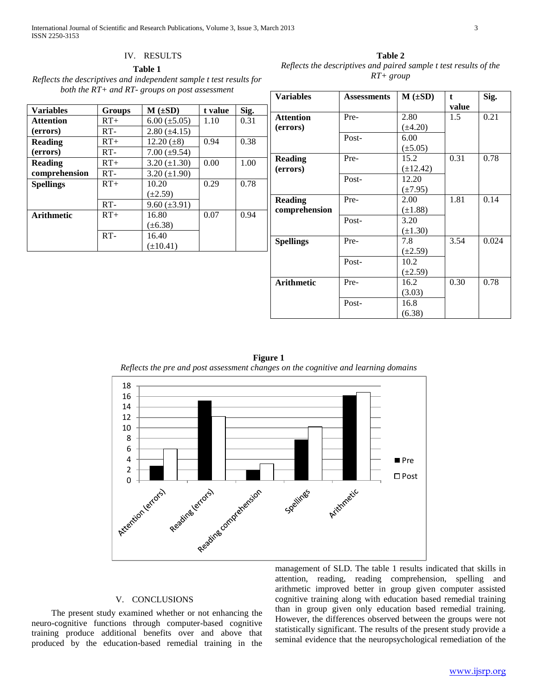# IV. RESULTS

**Table 1**

| Reflects the descriptives and independent sample t test results for |
|---------------------------------------------------------------------|
| both the $RT$ + and $RT$ - groups on post assessment                |

| <b>Variables</b>  | <b>Groups</b> | $M \left( \pm SD \right)$ | t value | Sig. |
|-------------------|---------------|---------------------------|---------|------|
| <b>Attention</b>  | $RT+$         | $6.00 \ (\pm 5.05)$       | 1.10    | 0.31 |
| (errors)          | $RT-$         | $2.80 (\pm 4.15)$         |         |      |
| <b>Reading</b>    | $RT+$         | 12.20 $(\pm 8)$           | 0.94    | 0.38 |
| (errors)          | $RT-$         | $7.00 \ (\pm 9.54)$       |         |      |
| <b>Reading</b>    | $RT+$         | $3.20 (\pm 1.30)$         | 0.00    | 1.00 |
| comprehension     | $RT-$         | $3.20 (\pm 1.90)$         |         |      |
| <b>Spellings</b>  | $RT+$         | 10.20                     | 0.29    | 0.78 |
|                   |               | $(\pm 2.59)$              |         |      |
|                   | $RT-$         | $9.60 (\pm 3.91)$         |         |      |
| <b>Arithmetic</b> | $RT+$         | 16.80                     | 0.07    | 0.94 |
|                   |               | $(\pm 6.38)$              |         |      |
|                   | $RT-$         | 16.40                     |         |      |
|                   |               | $(\pm 10.41)$             |         |      |

**Table 2** *Reflects the descriptives and paired sample t test results of the RT+ group* **Variables Assessments M** ( $\pm$ SD) **t value Sig.**

|                   |       |               |       | - 0   |
|-------------------|-------|---------------|-------|-------|
|                   |       |               | value |       |
| <b>Attention</b>  | Pre-  | 2.80          | 1.5   | 0.21  |
| (errors)          |       | $(\pm 4.20)$  |       |       |
|                   | Post- | 6.00          |       |       |
|                   |       | $(\pm 5.05)$  |       |       |
| <b>Reading</b>    | Pre-  | 15.2          | 0.31  | 0.78  |
| (errors)          |       | $(\pm 12.42)$ |       |       |
|                   | Post- | 12.20         |       |       |
|                   |       | $(\pm 7.95)$  |       |       |
| <b>Reading</b>    | Pre-  | 2.00          | 1.81  | 0.14  |
| comprehension     |       | $(\pm 1.88)$  |       |       |
|                   | Post- | 3.20          |       |       |
|                   |       | $(\pm 1.30)$  |       |       |
| <b>Spellings</b>  | Pre-  | 7.8           | 3.54  | 0.024 |
|                   |       | $(\pm 2.59)$  |       |       |
|                   | Post- | 10.2          |       |       |
|                   |       | $(\pm 2.59)$  |       |       |
| <b>Arithmetic</b> | Pre-  | 16.2          | 0.30  | 0.78  |
|                   |       | (3.03)        |       |       |
|                   | Post- | 16.8          |       |       |
|                   |       | (6.38)        |       |       |





# V. CONCLUSIONS

 The present study examined whether or not enhancing the neuro-cognitive functions through computer-based cognitive training produce additional benefits over and above that produced by the education-based remedial training in the

management of SLD. The table 1 results indicated that skills in attention, reading, reading comprehension, spelling and arithmetic improved better in group given computer assisted cognitive training along with education based remedial training than in group given only education based remedial training. However, the differences observed between the groups were not statistically significant. The results of the present study provide a seminal evidence that the neuropsychological remediation of the